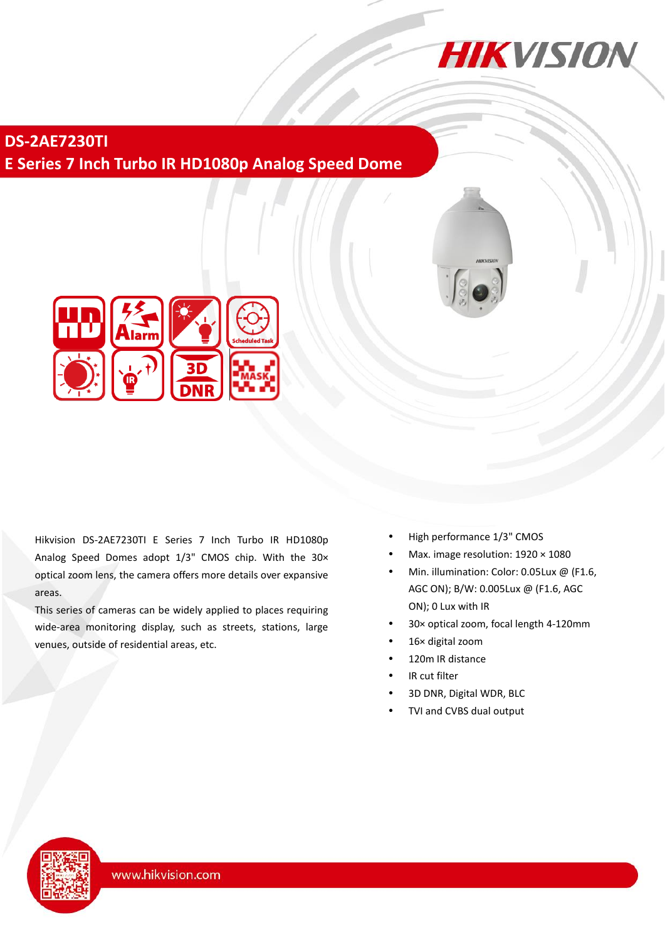

**DS-2AE7230TI E Series 7 Inch Turbo IR HD1080p Analog Speed Dome**



Hikvision DS-2AE7230TI E Series 7 Inch Turbo IR HD1080p Analog Speed Domes adopt 1/3" CMOS chip. With the 30× optical zoom lens, the camera offers more details over expansive areas.

This series of cameras can be widely applied to places requiring wide-area monitoring display, such as streets, stations, large venues, outside of residential areas, etc.

- High performance 1/3" CMOS
- Max. image resolution: 1920 × 1080
- Min. illumination: Color: 0.05Lux @ (F1.6, AGC ON); B/W: 0.005Lux @ (F1.6, AGC ON); 0 Lux with IR
- 30× optical zoom, focal length 4-120mm
- 16× digital zoom
- 120m IR distance
- IR cut filter
- 3D DNR, Digital WDR, BLC
- TVI and CVBS dual output

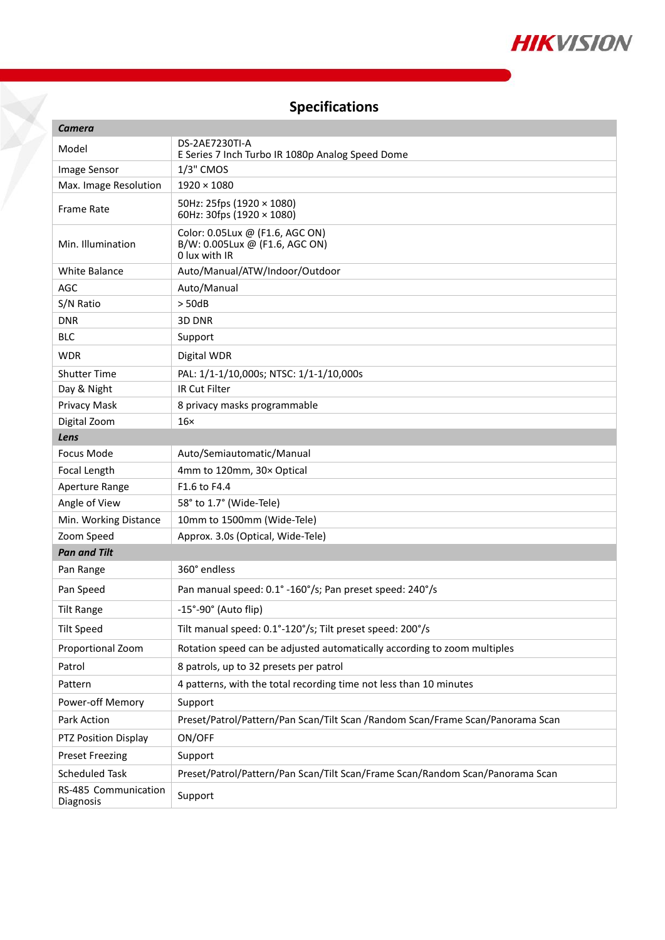

# **Specifications**

X

| Camera                            |                                                                                    |
|-----------------------------------|------------------------------------------------------------------------------------|
| Model                             | DS-2AE7230TI-A<br>E Series 7 Inch Turbo IR 1080p Analog Speed Dome                 |
| Image Sensor                      | 1/3" CMOS                                                                          |
| Max. Image Resolution             | $1920 \times 1080$                                                                 |
| <b>Frame Rate</b>                 | 50Hz: 25fps (1920 × 1080)<br>60Hz: 30fps (1920 × 1080)                             |
| Min. Illumination                 | Color: 0.05Lux @ (F1.6, AGC ON)<br>B/W: 0.005Lux @ (F1.6, AGC ON)<br>0 lux with IR |
| <b>White Balance</b>              | Auto/Manual/ATW/Indoor/Outdoor                                                     |
| AGC                               | Auto/Manual                                                                        |
| S/N Ratio                         | $>$ 50dB                                                                           |
| <b>DNR</b>                        | 3D DNR                                                                             |
| <b>BLC</b>                        | Support                                                                            |
| <b>WDR</b>                        | Digital WDR                                                                        |
| <b>Shutter Time</b>               | PAL: 1/1-1/10,000s; NTSC: 1/1-1/10,000s                                            |
| Day & Night                       | IR Cut Filter                                                                      |
| Privacy Mask                      | 8 privacy masks programmable                                                       |
| Digital Zoom                      | $16\times$                                                                         |
| Lens                              |                                                                                    |
| <b>Focus Mode</b>                 | Auto/Semiautomatic/Manual                                                          |
| Focal Length                      | 4mm to 120mm, 30x Optical                                                          |
| Aperture Range                    | F1.6 to F4.4                                                                       |
| Angle of View                     | 58° to 1.7° (Wide-Tele)                                                            |
| Min. Working Distance             | 10mm to 1500mm (Wide-Tele)                                                         |
| Zoom Speed                        | Approx. 3.0s (Optical, Wide-Tele)                                                  |
| <b>Pan and Tilt</b>               |                                                                                    |
| Pan Range                         | 360° endless                                                                       |
| Pan Speed                         | Pan manual speed: 0.1° -160°/s; Pan preset speed: 240°/s                           |
| <b>Tilt Range</b>                 | $-15^{\circ}$ -90 $^{\circ}$ (Auto flip)                                           |
| <b>Tilt Speed</b>                 | Tilt manual speed: 0.1°-120°/s; Tilt preset speed: 200°/s                          |
| Proportional Zoom                 | Rotation speed can be adjusted automatically according to zoom multiples           |
| Patrol                            | 8 patrols, up to 32 presets per patrol                                             |
| Pattern                           | 4 patterns, with the total recording time not less than 10 minutes                 |
| Power-off Memory                  | Support                                                                            |
| Park Action                       | Preset/Patrol/Pattern/Pan Scan/Tilt Scan /Random Scan/Frame Scan/Panorama Scan     |
| PTZ Position Display              | ON/OFF                                                                             |
| <b>Preset Freezing</b>            | Support                                                                            |
| <b>Scheduled Task</b>             | Preset/Patrol/Pattern/Pan Scan/Tilt Scan/Frame Scan/Random Scan/Panorama Scan      |
| RS-485 Communication<br>Diagnosis | Support                                                                            |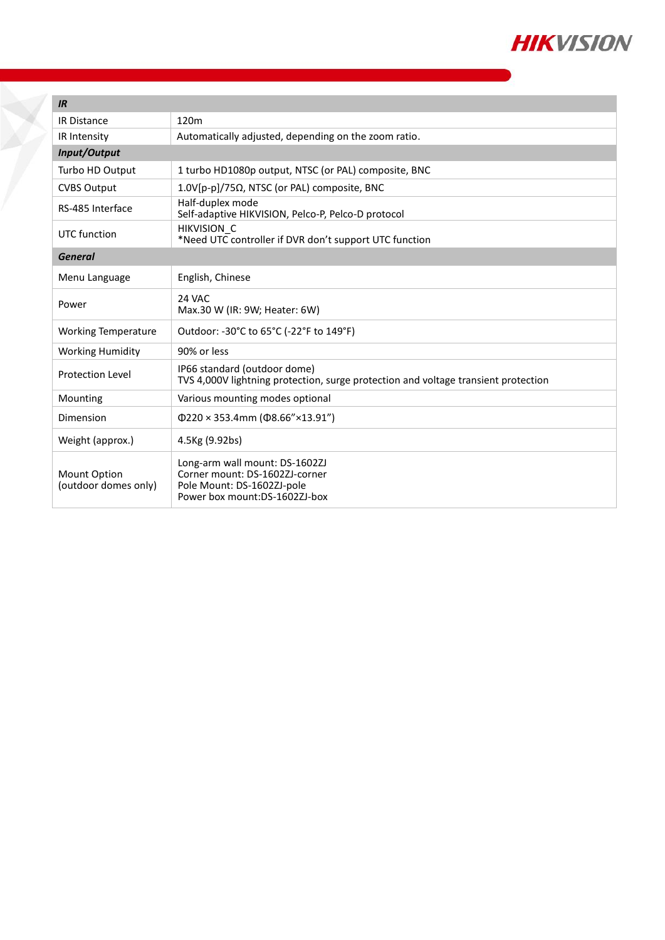

| IR                                          |                                                                                                                                 |
|---------------------------------------------|---------------------------------------------------------------------------------------------------------------------------------|
| <b>IR Distance</b>                          | 120m                                                                                                                            |
| IR Intensity                                | Automatically adjusted, depending on the zoom ratio.                                                                            |
| Input/Output                                |                                                                                                                                 |
| Turbo HD Output                             | 1 turbo HD1080p output, NTSC (or PAL) composite, BNC                                                                            |
| <b>CVBS Output</b>                          | 1.0V[p-p]/75Ω, NTSC (or PAL) composite, BNC                                                                                     |
| RS-485 Interface                            | Half-duplex mode<br>Self-adaptive HIKVISION, Pelco-P, Pelco-D protocol                                                          |
| UTC function                                | <b>HIKVISION C</b><br>*Need UTC controller if DVR don't support UTC function                                                    |
| <b>General</b>                              |                                                                                                                                 |
| Menu Language                               | English, Chinese                                                                                                                |
| Power                                       | 24 VAC<br>Max.30 W (IR: 9W; Heater: 6W)                                                                                         |
| <b>Working Temperature</b>                  | Outdoor: -30°C to 65°C (-22°F to 149°F)                                                                                         |
| <b>Working Humidity</b>                     | 90% or less                                                                                                                     |
| <b>Protection Level</b>                     | IP66 standard (outdoor dome)<br>TVS 4,000V lightning protection, surge protection and voltage transient protection              |
| Mounting                                    | Various mounting modes optional                                                                                                 |
| Dimension                                   | $\Phi$ 220 × 353.4mm ( $\Phi$ 8.66"×13.91")                                                                                     |
| Weight (approx.)                            | 4.5Kg (9.92bs)                                                                                                                  |
| <b>Mount Option</b><br>(outdoor domes only) | Long-arm wall mount: DS-1602ZJ<br>Corner mount: DS-1602ZJ-corner<br>Pole Mount: DS-1602ZJ-pole<br>Power box mount:DS-1602ZJ-box |

Y